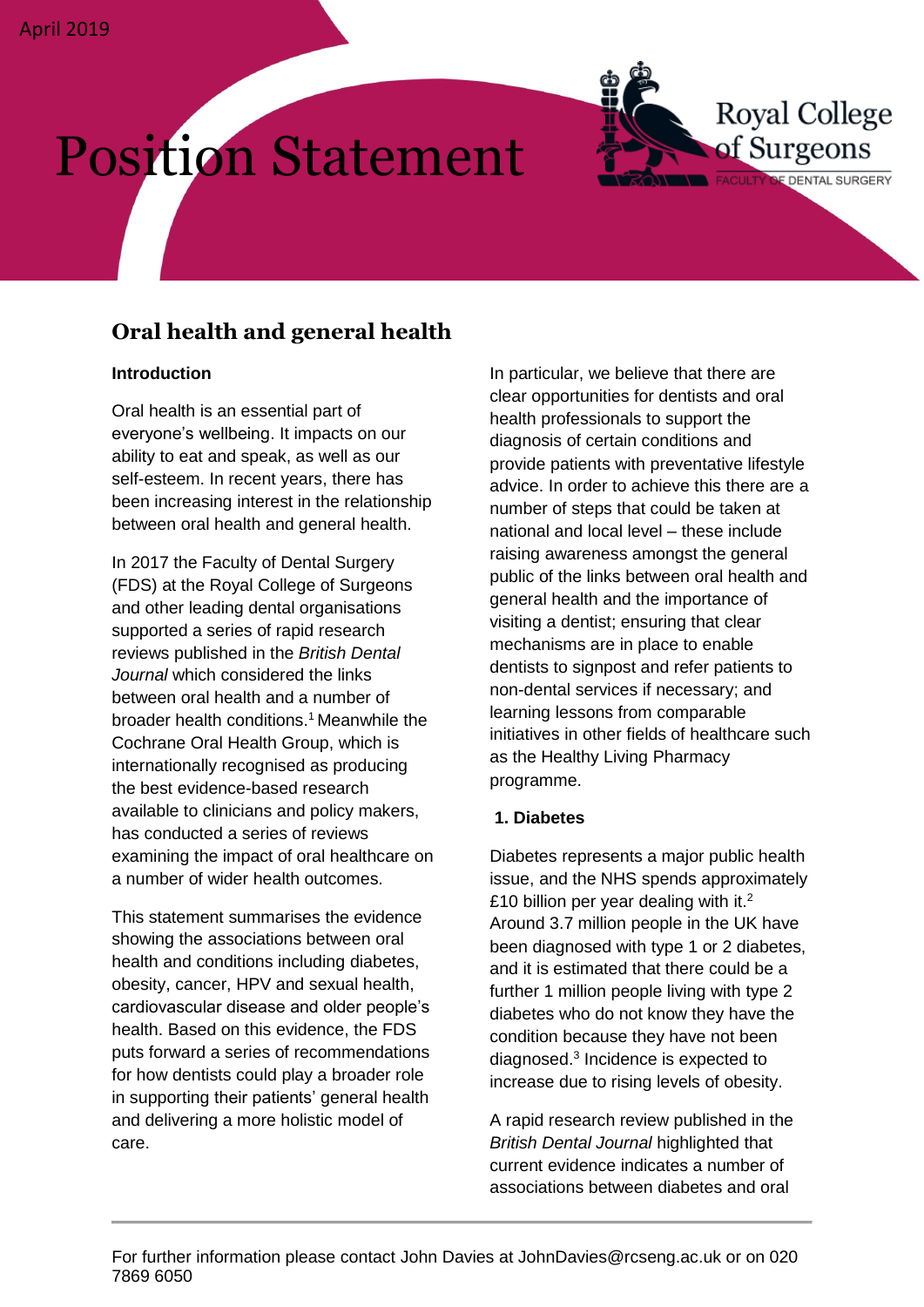# Position Statement

## **Oral health and general health**

#### **Introduction**

Oral health is an essential part of everyone's wellbeing. It impacts on our ability to eat and speak, as well as our self-esteem. In recent years, there has been increasing interest in the relationship between oral health and general health.

In 2017 the Faculty of Dental Surgery (FDS) at the Royal College of Surgeons and other leading dental organisations supported a series of rapid research reviews published in the *British Dental Journal* which considered the links between oral health and a number of broader health conditions. <sup>1</sup> Meanwhile the Cochrane Oral Health Group, which is internationally recognised as producing the best evidence-based research available to clinicians and policy makers, has conducted a series of reviews examining the impact of oral healthcare on a number of wider health outcomes.

This statement summarises the evidence showing the associations between oral health and conditions including diabetes, obesity, cancer, HPV and sexual health, cardiovascular disease and older people's health. Based on this evidence, the FDS puts forward a series of recommendations for how dentists could play a broader role in supporting their patients' general health and delivering a more holistic model of care.

In particular, we believe that there are clear opportunities for dentists and oral health professionals to support the diagnosis of certain conditions and provide patients with preventative lifestyle advice. In order to achieve this there are a number of steps that could be taken at national and local level – these include raising awareness amongst the general public of the links between oral health and general health and the importance of visiting a dentist; ensuring that clear mechanisms are in place to enable dentists to signpost and refer patients to non-dental services if necessary; and learning lessons from comparable initiatives in other fields of healthcare such as the Healthy Living Pharmacy programme.

**Royal College** 

FACULTY OF DENTAL SURGERY

of Surgeons

#### **1. Diabetes**

Diabetes represents a major public health issue, and the NHS spends approximately £10 billion per year dealing with it.<sup>2</sup> Around 3.7 million people in the UK have been diagnosed with type 1 or 2 diabetes, and it is estimated that there could be a further 1 million people living with type 2 diabetes who do not know they have the condition because they have not been diagnosed. 3 Incidence is expected to increase due to rising levels of obesity.

A rapid research review published in the *British Dental Journal* highlighted that current evidence indicates a number of associations between diabetes and oral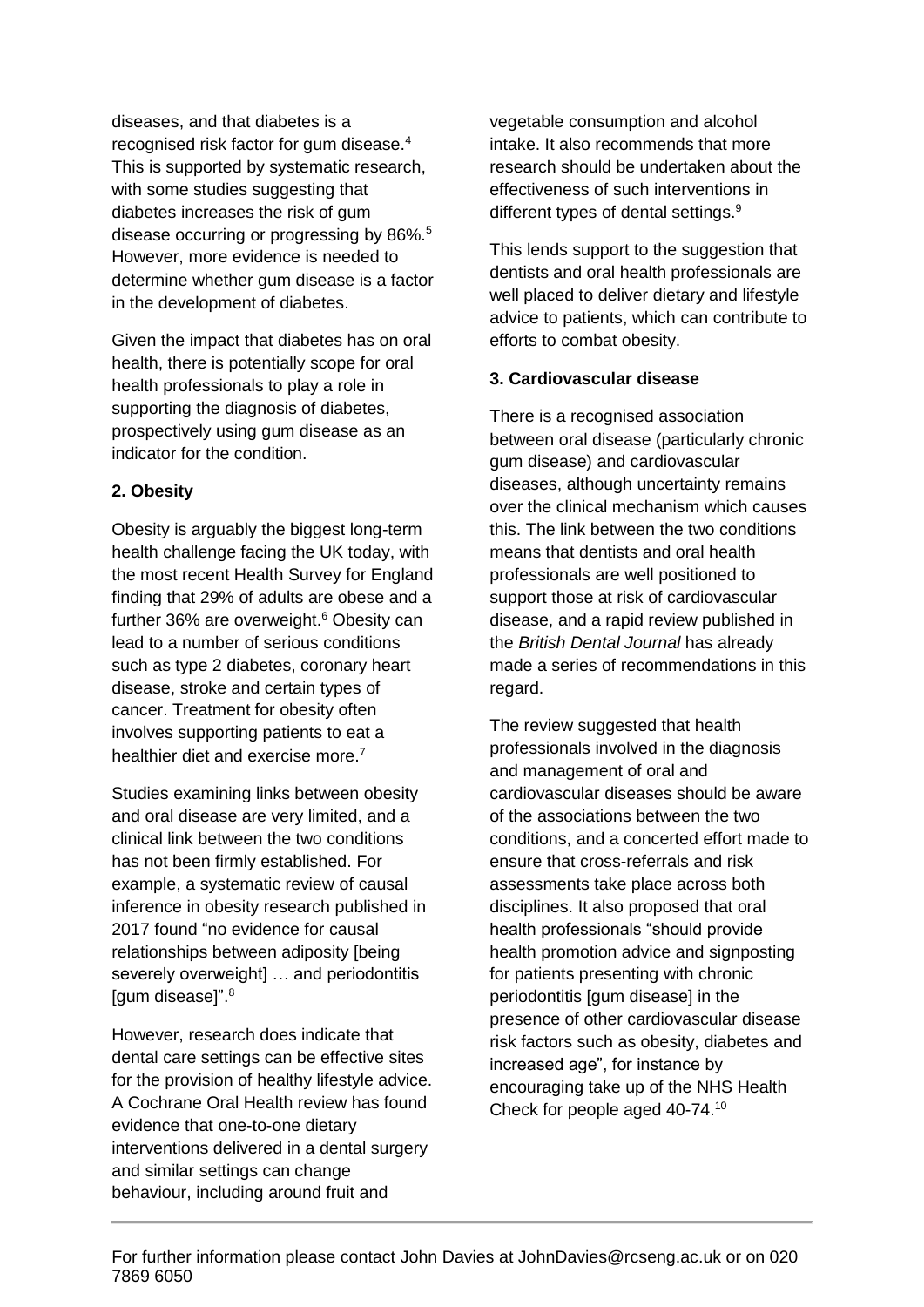diseases, and that diabetes is a recognised risk factor for gum disease.<sup>4</sup> This is supported by systematic research, with some studies suggesting that diabetes increases the risk of gum disease occurring or progressing by 86%.<sup>5</sup> However, more evidence is needed to determine whether gum disease is a factor in the development of diabetes.

Given the impact that diabetes has on oral health, there is potentially scope for oral health professionals to play a role in supporting the diagnosis of diabetes, prospectively using gum disease as an indicator for the condition.

#### **2. Obesity**

Obesity is arguably the biggest long-term health challenge facing the UK today, with the most recent Health Survey for England finding that 29% of adults are obese and a further 36% are overweight. <sup>6</sup> Obesity can lead to a number of serious conditions such as type 2 diabetes, coronary heart disease, stroke and certain types of cancer. Treatment for obesity often involves supporting patients to eat a healthier diet and exercise more.<sup>7</sup>

Studies examining links between obesity and oral disease are very limited, and a clinical link between the two conditions has not been firmly established. For example, a systematic review of causal inference in obesity research published in 2017 found "no evidence for causal relationships between adiposity [being severely overweight] … and periodontitis [gum disease]". 8

However, research does indicate that dental care settings can be effective sites for the provision of healthy lifestyle advice. A Cochrane Oral Health review has found evidence that one-to-one dietary interventions delivered in a dental surgery and similar settings can change behaviour, including around fruit and

vegetable consumption and alcohol intake. It also recommends that more research should be undertaken about the effectiveness of such interventions in different types of dental settings.<sup>9</sup>

This lends support to the suggestion that dentists and oral health professionals are well placed to deliver dietary and lifestyle advice to patients, which can contribute to efforts to combat obesity.

#### **3. Cardiovascular disease**

There is a recognised association between oral disease (particularly chronic gum disease) and cardiovascular diseases, although uncertainty remains over the clinical mechanism which causes this. The link between the two conditions means that dentists and oral health professionals are well positioned to support those at risk of cardiovascular disease, and a rapid review published in the *British Dental Journal* has already made a series of recommendations in this regard.

The review suggested that health professionals involved in the diagnosis and management of oral and cardiovascular diseases should be aware of the associations between the two conditions, and a concerted effort made to ensure that cross-referrals and risk assessments take place across both disciplines. It also proposed that oral health professionals "should provide health promotion advice and signposting for patients presenting with chronic periodontitis [gum disease] in the presence of other cardiovascular disease risk factors such as obesity, diabetes and increased age", for instance by encouraging take up of the NHS Health Check for people aged 40-74. 10

For further information please contact John Davies at JohnDavies@rcseng.ac.uk or on 020 7869 6050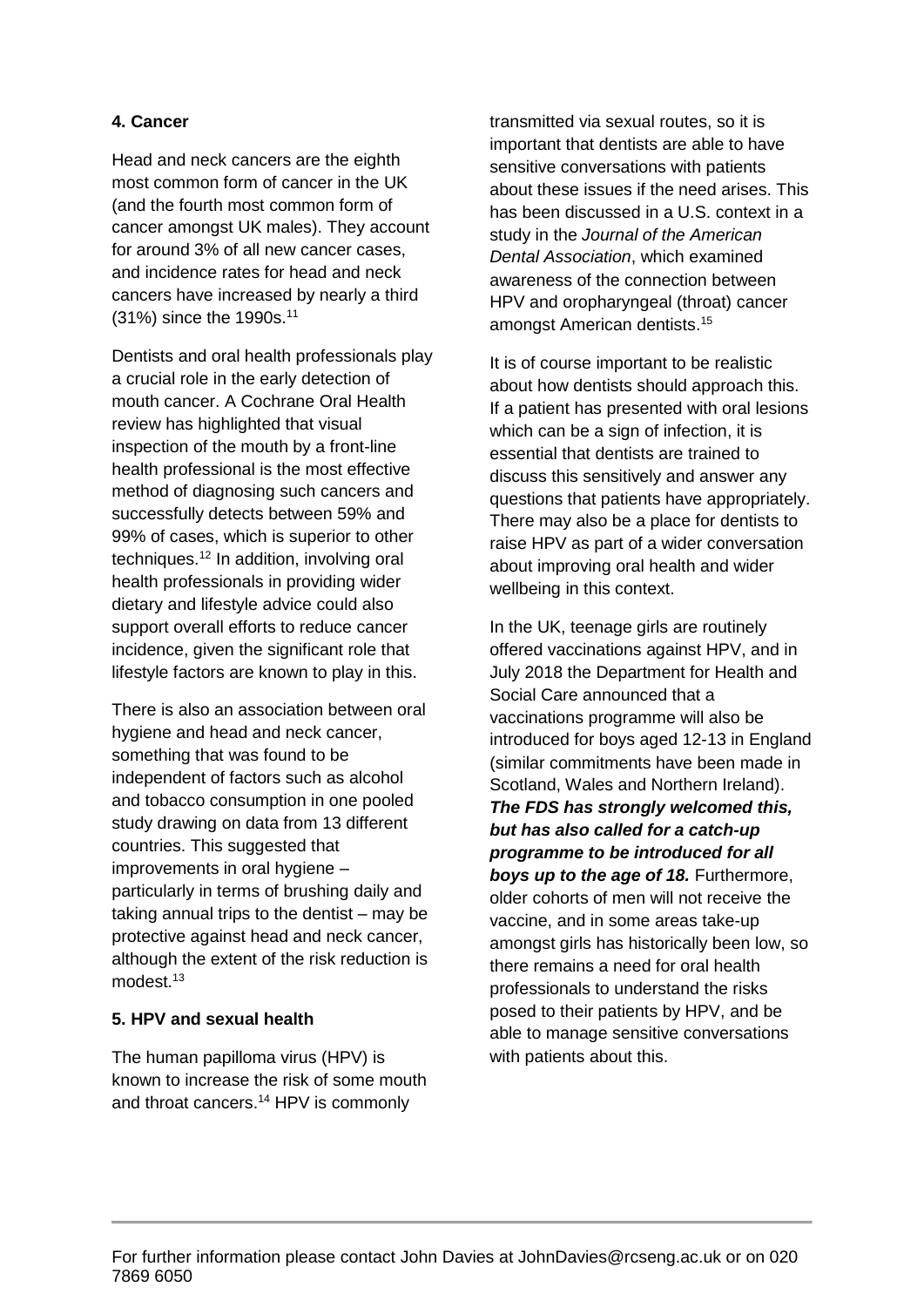#### **4. Cancer**

Head and neck cancers are the eighth most common form of cancer in the UK (and the fourth most common form of cancer amongst UK males). They account for around 3% of all new cancer cases, and incidence rates for head and neck cancers have increased by nearly a third (31%) since the 1990s.<sup>11</sup>

Dentists and oral health professionals play a crucial role in the early detection of mouth cancer. A Cochrane Oral Health review has highlighted that visual inspection of the mouth by a front-line health professional is the most effective method of diagnosing such cancers and successfully detects between 59% and 99% of cases, which is superior to other techniques.<sup>12</sup> In addition, involving oral health professionals in providing wider dietary and lifestyle advice could also support overall efforts to reduce cancer incidence, given the significant role that lifestyle factors are known to play in this.

There is also an association between oral hygiene and head and neck cancer, something that was found to be independent of factors such as alcohol and tobacco consumption in one pooled study drawing on data from 13 different countries. This suggested that improvements in oral hygiene – particularly in terms of brushing daily and taking annual trips to the dentist – may be protective against head and neck cancer, although the extent of the risk reduction is modest.<sup>13</sup>

#### **5. HPV and sexual health**

The human papilloma virus (HPV) is known to increase the risk of some mouth and throat cancers. <sup>14</sup> HPV is commonly

transmitted via sexual routes, so it is important that dentists are able to have sensitive conversations with patients about these issues if the need arises. This has been discussed in a U.S. context in a study in the *Journal of the American Dental Association*, which examined awareness of the connection between HPV and oropharyngeal (throat) cancer amongst American dentists. 15

It is of course important to be realistic about how dentists should approach this. If a patient has presented with oral lesions which can be a sign of infection, it is essential that dentists are trained to discuss this sensitively and answer any questions that patients have appropriately. There may also be a place for dentists to raise HPV as part of a wider conversation about improving oral health and wider wellbeing in this context.

In the UK, teenage girls are routinely offered vaccinations against HPV, and in July 2018 the Department for Health and Social Care announced that a vaccinations programme will also be introduced for boys aged 12-13 in England (similar commitments have been made in Scotland, Wales and Northern Ireland). *The FDS has strongly welcomed this, but has also called for a catch-up programme to be introduced for all boys up to the age of 18.* Furthermore, older cohorts of men will not receive the vaccine, and in some areas take-up amongst girls has historically been low, so there remains a need for oral health professionals to understand the risks posed to their patients by HPV, and be able to manage sensitive conversations with patients about this.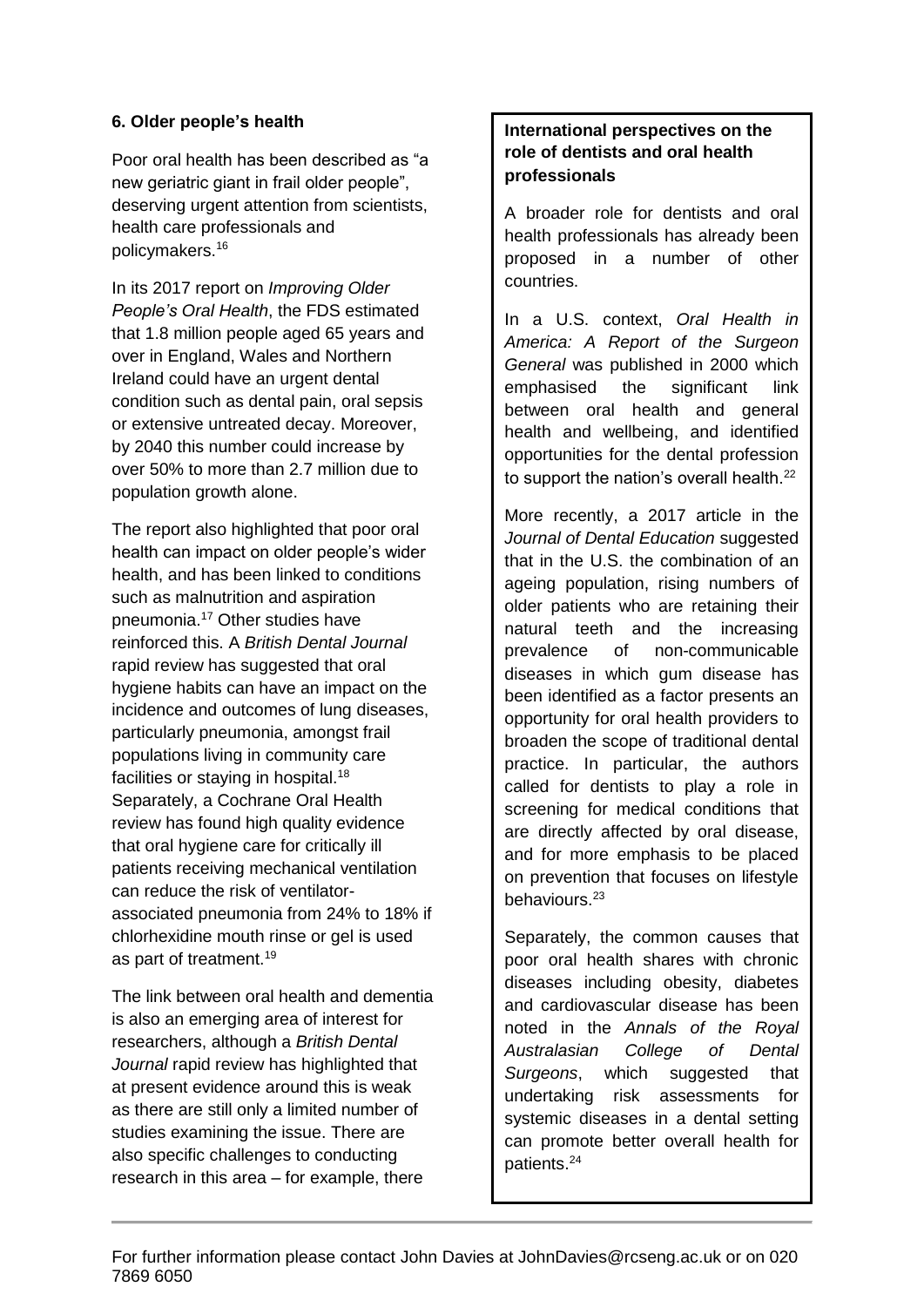#### **6. Older people's health**

Poor oral health has been described as "a new geriatric giant in frail older people", deserving urgent attention from scientists, health care professionals and policymakers. 16

In its 2017 report on *Improving Older People's Oral Health*, the FDS estimated that 1.8 million people aged 65 years and over in England, Wales and Northern Ireland could have an urgent dental condition such as dental pain, oral sepsis or extensive untreated decay. Moreover, by 2040 this number could increase by over 50% to more than 2.7 million due to population growth alone.

The report also highlighted that poor oral health can impact on older people's wider health, and has been linked to conditions such as malnutrition and aspiration pneumonia. <sup>17</sup> Other studies have reinforced this. A *British Dental Journal* rapid review has suggested that oral hygiene habits can have an impact on the incidence and outcomes of lung diseases, particularly pneumonia, amongst frail populations living in community care facilities or staying in hospital.<sup>18</sup> Separately, a Cochrane Oral Health review has found high quality evidence that oral hygiene care for critically ill patients receiving mechanical ventilation can reduce the risk of ventilatorassociated pneumonia from 24% to 18% if chlorhexidine mouth rinse or gel is used as part of treatment.<sup>19</sup>

The link between oral health and dementia is also an emerging area of interest for researchers, although a *British Dental Journal* rapid review has highlighted that at present evidence around this is weak as there are still only a limited number of studies examining the issue. There are also specific challenges to conducting research in this area – for example, there

#### **International perspectives on the role of dentists and oral health professionals**

A broader role for dentists and oral health professionals has already been proposed in a number of other countries.

In a U.S. context, *Oral Health in America: A Report of the Surgeon General* was published in 2000 which emphasised the significant link between oral health and general health and wellbeing, and identified opportunities for the dental profession to support the nation's overall health.<sup>22</sup>

More recently, a 2017 article in the *Journal of Dental Education* suggested that in the U.S. the combination of an ageing population, rising numbers of older patients who are retaining their natural teeth and the increasing prevalence of non-communicable diseases in which gum disease has been identified as a factor presents an opportunity for oral health providers to broaden the scope of traditional dental practice. In particular, the authors called for dentists to play a role in screening for medical conditions that are directly affected by oral disease, and for more emphasis to be placed on prevention that focuses on lifestyle behaviours.<sup>23</sup>

Separately, the common causes that poor oral health shares with chronic diseases including obesity, diabetes and cardiovascular disease has been noted in the *Annals of the Royal Australasian College of Dental Surgeons*, which suggested that undertaking risk assessments for systemic diseases in a dental setting can promote better overall health for patients. 24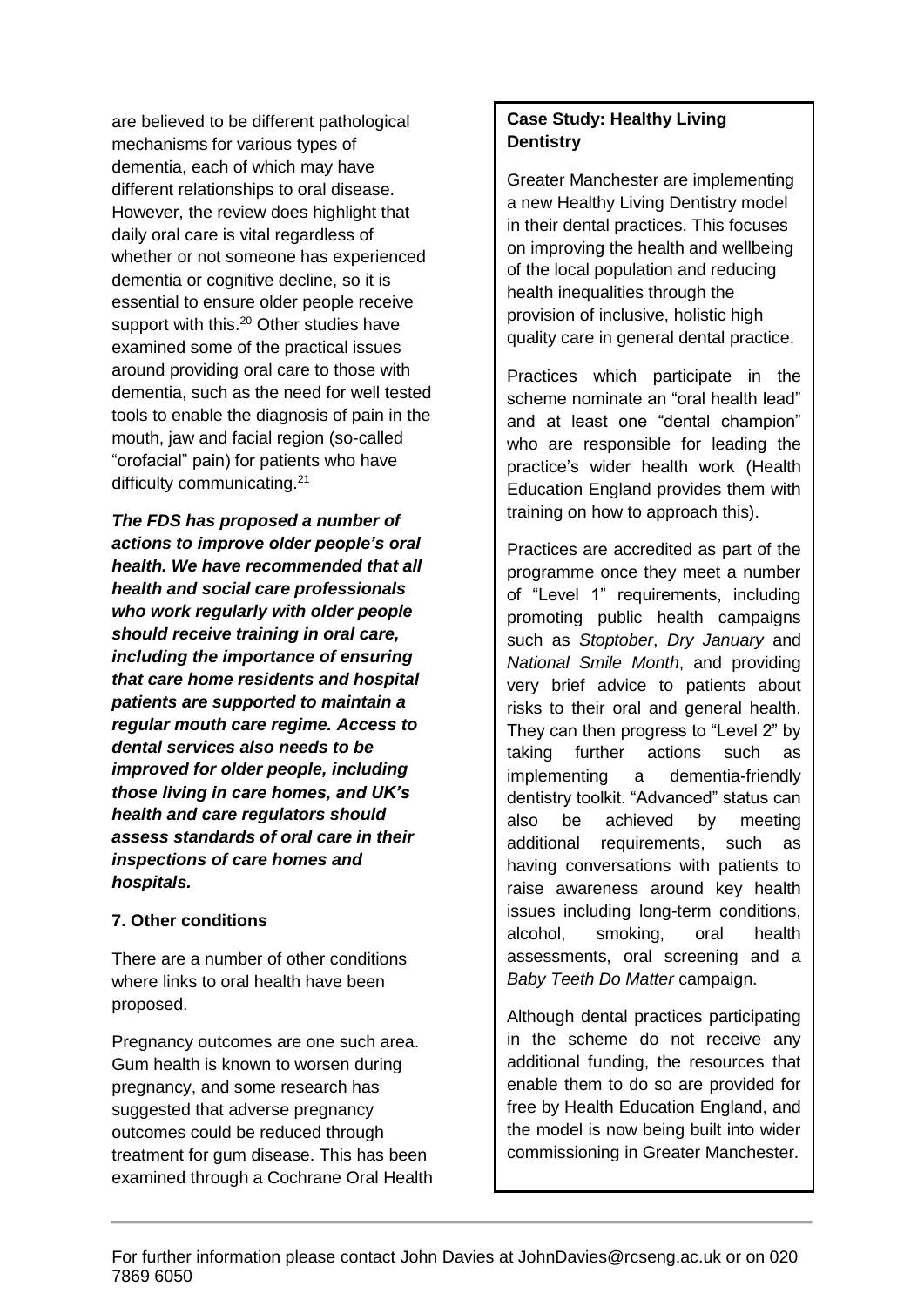are believed to be different pathological mechanisms for various types of dementia, each of which may have different relationships to oral disease. However, the review does highlight that daily oral care is vital regardless of whether or not someone has experienced dementia or cognitive decline, so it is essential to ensure older people receive support with this.<sup>20</sup> Other studies have examined some of the practical issues around providing oral care to those with dementia, such as the need for well tested tools to enable the diagnosis of pain in the mouth, jaw and facial region (so-called "orofacial" pain) for patients who have difficulty communicating.<sup>21</sup>

*The FDS has proposed a number of actions to improve older people's oral health. We have recommended that all health and social care professionals who work regularly with older people should receive training in oral care, including the importance of ensuring that care home residents and hospital patients are supported to maintain a regular mouth care regime. Access to dental services also needs to be improved for older people, including those living in care homes, and UK's health and care regulators should assess standards of oral care in their inspections of care homes and hospitals.*

#### **7. Other conditions**

There are a number of other conditions where links to oral health have been proposed.

Pregnancy outcomes are one such area. Gum health is known to worsen during pregnancy, and some research has suggested that adverse pregnancy outcomes could be reduced through treatment for gum disease. This has been examined through a Cochrane Oral Health

### **Case Study: Healthy Living Dentistry**

Greater Manchester are implementing a new Healthy Living Dentistry model in their dental practices. This focuses on improving the health and wellbeing of the local population and reducing health inequalities through the provision of inclusive, holistic high quality care in general dental practice.

Practices which participate in the scheme nominate an "oral health lead" and at least one "dental champion" who are responsible for leading the practice's wider health work (Health Education England provides them with training on how to approach this).

Practices are accredited as part of the programme once they meet a number of "Level 1" requirements, including promoting public health campaigns such as *Stoptober*, *Dry January* and *National Smile Month*, and providing very brief advice to patients about risks to their oral and general health. They can then progress to "Level 2" by taking further actions such as implementing a dementia-friendly dentistry toolkit. "Advanced" status can also be achieved by meeting additional requirements, such as having conversations with patients to raise awareness around key health issues including long-term conditions, alcohol, smoking, oral health assessments, oral screening and a *Baby Teeth Do Matter* campaign.

Although dental practices participating in the scheme do not receive any additional funding, the resources that enable them to do so are provided for free by Health Education England, and the model is now being built into wider commissioning in Greater Manchester.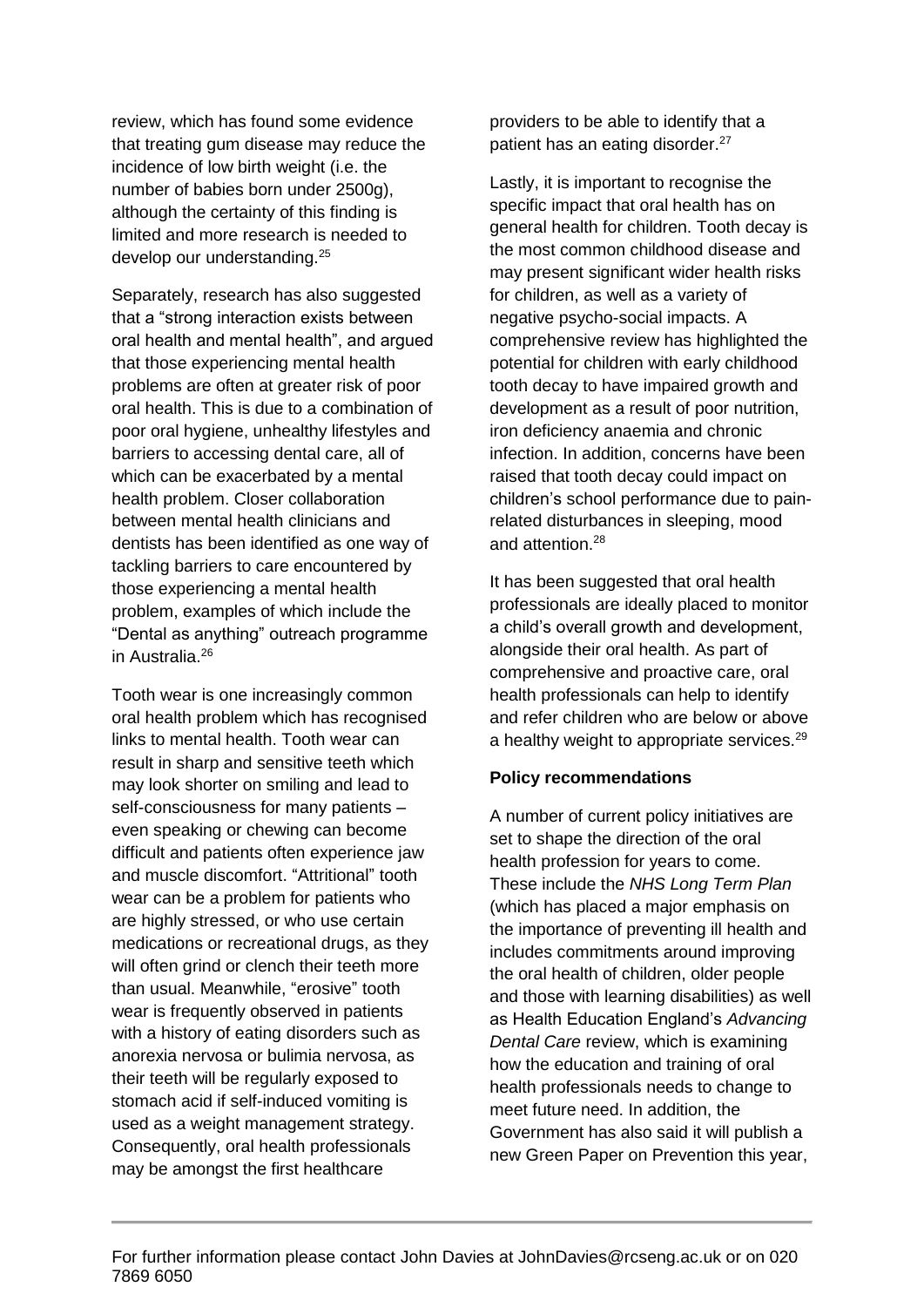review, which has found some evidence that treating gum disease may reduce the incidence of low birth weight (i.e. the number of babies born under 2500g), although the certainty of this finding is limited and more research is needed to develop our understanding.<sup>25</sup>

Separately, research has also suggested that a "strong interaction exists between oral health and mental health", and argued that those experiencing mental health problems are often at greater risk of poor oral health. This is due to a combination of poor oral hygiene, unhealthy lifestyles and barriers to accessing dental care, all of which can be exacerbated by a mental health problem. Closer collaboration between mental health clinicians and dentists has been identified as one way of tackling barriers to care encountered by those experiencing a mental health problem, examples of which include the "Dental as anything" outreach programme in Australia.<sup>26</sup>

Tooth wear is one increasingly common oral health problem which has recognised links to mental health. Tooth wear can result in sharp and sensitive teeth which may look shorter on smiling and lead to self-consciousness for many patients – even speaking or chewing can become difficult and patients often experience jaw and muscle discomfort. "Attritional" tooth wear can be a problem for patients who are highly stressed, or who use certain medications or recreational drugs, as they will often grind or clench their teeth more than usual. Meanwhile, "erosive" tooth wear is frequently observed in patients with a history of eating disorders such as anorexia nervosa or bulimia nervosa, as their teeth will be regularly exposed to stomach acid if self-induced vomiting is used as a weight management strategy. Consequently, oral health professionals may be amongst the first healthcare

providers to be able to identify that a patient has an eating disorder.<sup>27</sup>

Lastly, it is important to recognise the specific impact that oral health has on general health for children. Tooth decay is the most common childhood disease and may present significant wider health risks for children, as well as a variety of negative psycho-social impacts. A comprehensive review has highlighted the potential for children with early childhood tooth decay to have impaired growth and development as a result of poor nutrition, iron deficiency anaemia and chronic infection. In addition, concerns have been raised that tooth decay could impact on children's school performance due to painrelated disturbances in sleeping, mood and attention.<sup>28</sup>

It has been suggested that oral health professionals are ideally placed to monitor a child's overall growth and development, alongside their oral health. As part of comprehensive and proactive care, oral health professionals can help to identify and refer children who are below or above a healthy weight to appropriate services. $29$ 

#### **Policy recommendations**

A number of current policy initiatives are set to shape the direction of the oral health profession for years to come. These include the *NHS Long Term Plan* (which has placed a major emphasis on the importance of preventing ill health and includes commitments around improving the oral health of children, older people and those with learning disabilities) as well as Health Education England's *Advancing Dental Care* review, which is examining how the education and training of oral health professionals needs to change to meet future need. In addition, the Government has also said it will publish a new Green Paper on Prevention this year,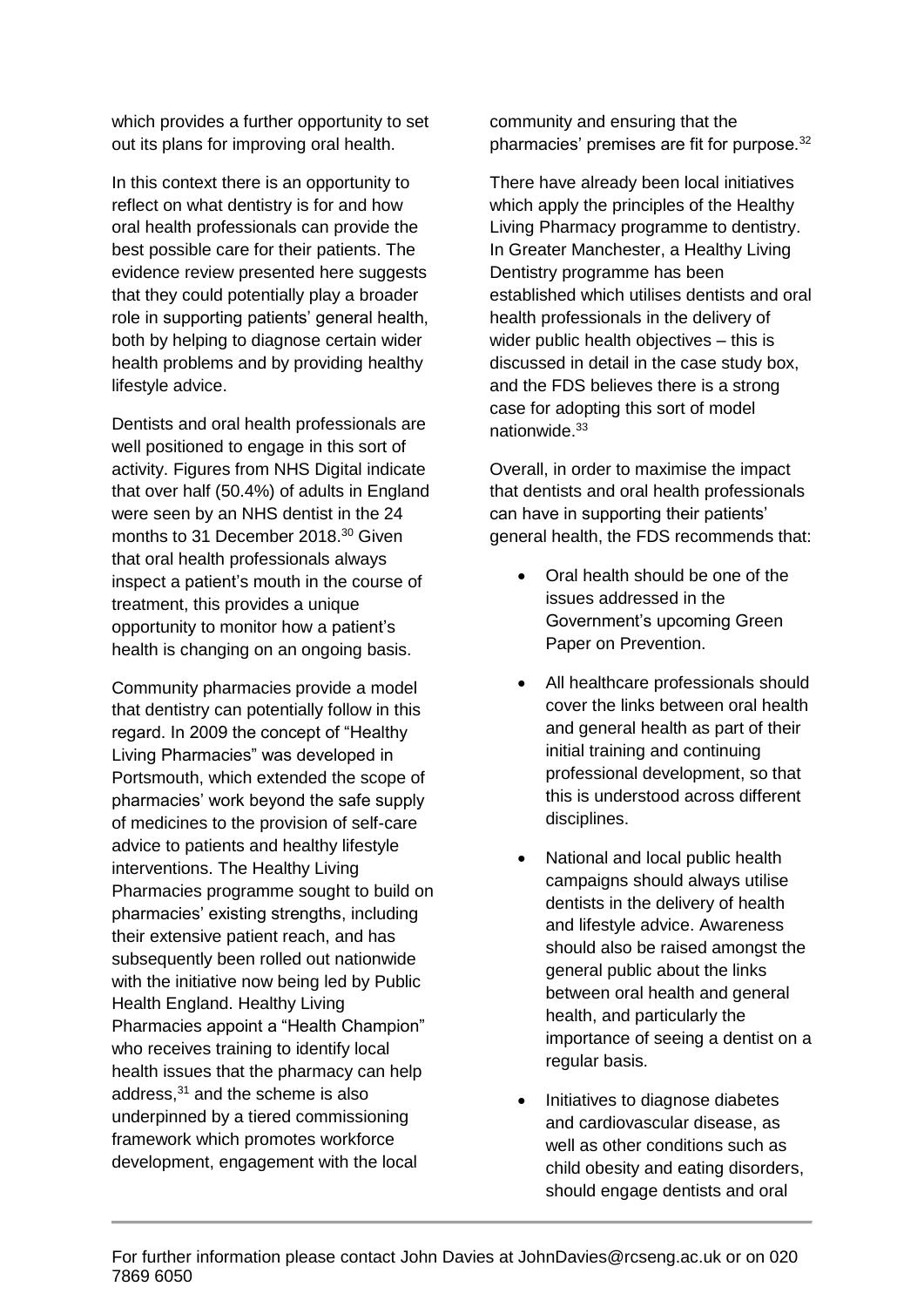which provides a further opportunity to set out its plans for improving oral health.

In this context there is an opportunity to reflect on what dentistry is for and how oral health professionals can provide the best possible care for their patients. The evidence review presented here suggests that they could potentially play a broader role in supporting patients' general health, both by helping to diagnose certain wider health problems and by providing healthy lifestyle advice.

Dentists and oral health professionals are well positioned to engage in this sort of activity. Figures from NHS Digital indicate that over half (50.4%) of adults in England were seen by an NHS dentist in the 24 months to 31 December 2018. <sup>30</sup> Given that oral health professionals always inspect a patient's mouth in the course of treatment, this provides a unique opportunity to monitor how a patient's health is changing on an ongoing basis.

Community pharmacies provide a model that dentistry can potentially follow in this regard. In 2009 the concept of "Healthy Living Pharmacies" was developed in Portsmouth, which extended the scope of pharmacies' work beyond the safe supply of medicines to the provision of self-care advice to patients and healthy lifestyle interventions. The Healthy Living Pharmacies programme sought to build on pharmacies' existing strengths, including their extensive patient reach, and has subsequently been rolled out nationwide with the initiative now being led by Public Health England. Healthy Living Pharmacies appoint a "Health Champion" who receives training to identify local health issues that the pharmacy can help address, $31$  and the scheme is also underpinned by a tiered commissioning framework which promotes workforce development, engagement with the local

community and ensuring that the pharmacies' premises are fit for purpose.<sup>32</sup>

There have already been local initiatives which apply the principles of the Healthy Living Pharmacy programme to dentistry. In Greater Manchester, a Healthy Living Dentistry programme has been established which utilises dentists and oral health professionals in the delivery of wider public health objectives – this is discussed in detail in the case study box, and the FDS believes there is a strong case for adopting this sort of model nationwide. 33

Overall, in order to maximise the impact that dentists and oral health professionals can have in supporting their patients' general health, the FDS recommends that:

- Oral health should be one of the issues addressed in the Government's upcoming Green Paper on Prevention.
- All healthcare professionals should cover the links between oral health and general health as part of their initial training and continuing professional development, so that this is understood across different disciplines.
- National and local public health campaigns should always utilise dentists in the delivery of health and lifestyle advice. Awareness should also be raised amongst the general public about the links between oral health and general health, and particularly the importance of seeing a dentist on a regular basis.
- Initiatives to diagnose diabetes and cardiovascular disease, as well as other conditions such as child obesity and eating disorders, should engage dentists and oral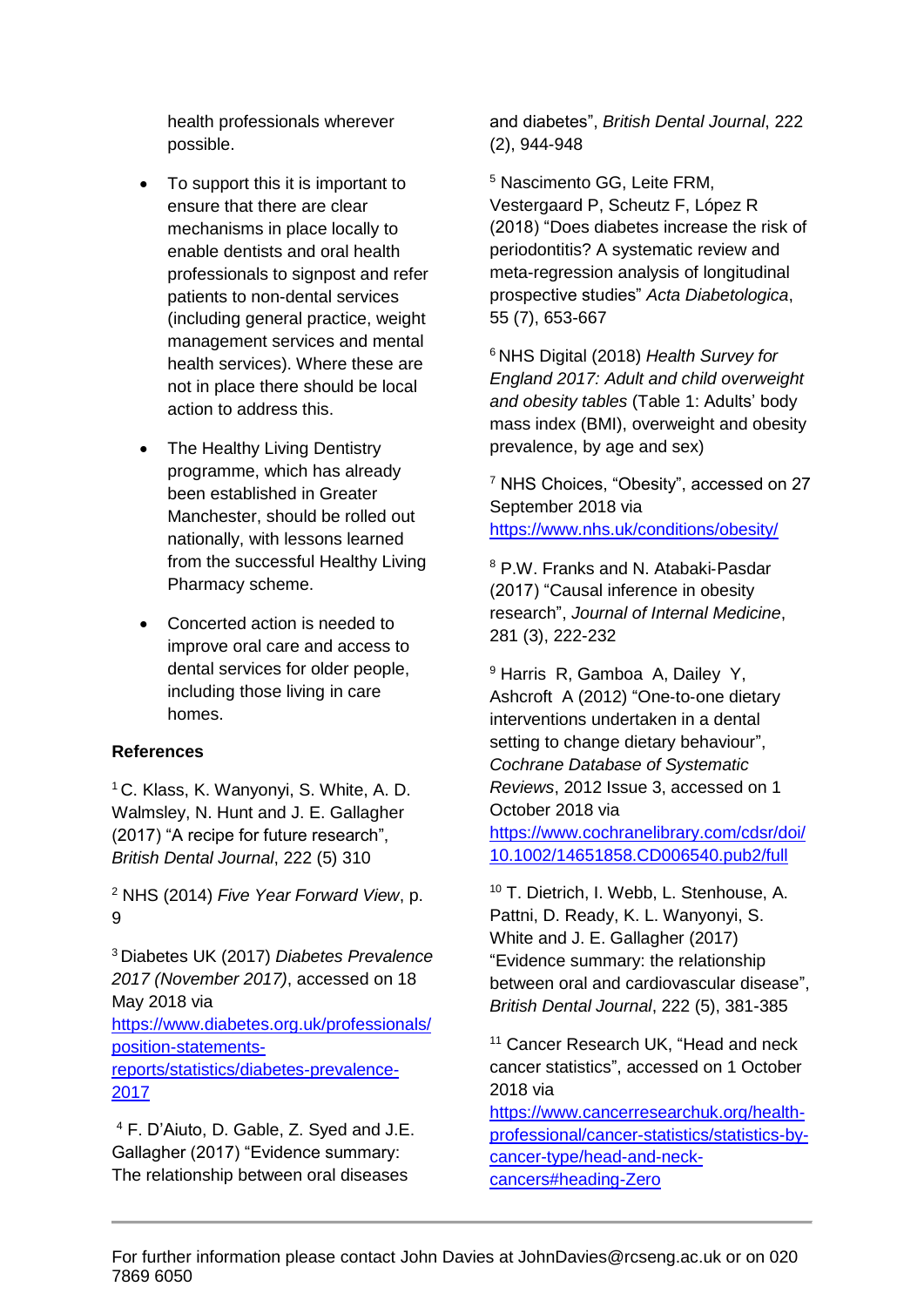health professionals wherever possible.

- To support this it is important to ensure that there are clear mechanisms in place locally to enable dentists and oral health professionals to signpost and refer patients to non-dental services (including general practice, weight management services and mental health services). Where these are not in place there should be local action to address this.
- The Healthy Living Dentistry programme, which has already been established in Greater Manchester, should be rolled out nationally, with lessons learned from the successful Healthy Living Pharmacy scheme.
- Concerted action is needed to improve oral care and access to dental services for older people, including those living in care homes.

#### **References**

<sup>1</sup> C. Klass, K. Wanyonyi, S. White, A. D. Walmsley, N. Hunt and J. E. Gallagher (2017) "A recipe for future research", *British Dental Journal*, 222 (5) 310

<sup>2</sup> NHS (2014) *Five Year Forward View*, p. 9

<sup>3</sup> Diabetes UK (2017) *Diabetes Prevalence 2017 (November 2017)*, accessed on 18 May 2018 via [https://www.diabetes.org.uk/professionals/](https://www.diabetes.org.uk/professionals/position-statements-reports/statistics/diabetes-prevalence-2017) [position-statements-](https://www.diabetes.org.uk/professionals/position-statements-reports/statistics/diabetes-prevalence-2017)

[reports/statistics/diabetes-prevalence-](https://www.diabetes.org.uk/professionals/position-statements-reports/statistics/diabetes-prevalence-2017)[2017](https://www.diabetes.org.uk/professionals/position-statements-reports/statistics/diabetes-prevalence-2017)

<sup>4</sup> F. D'Aiuto, D. Gable, Z. Syed and J.E. Gallagher (2017) "Evidence summary: The relationship between oral diseases

and diabetes", *British Dental Journal*, 222 (2), 944-948

<sup>5</sup> Nascimento GG, Leite FRM, Vestergaard P, Scheutz F, López R (2018) "Does diabetes increase the risk of periodontitis? A systematic review and meta-regression analysis of longitudinal prospective studies" *Acta Diabetologica*, 55 (7), 653-667

<sup>6</sup> NHS Digital (2018) *Health Survey for England 2017: Adult and child overweight and obesity tables* (Table 1: Adults' body mass index (BMI), overweight and obesity prevalence, by age and sex)

<sup>7</sup> NHS Choices, "Obesity", accessed on 27 September 2018 via <https://www.nhs.uk/conditions/obesity/>

<sup>8</sup> P.W. Franks and N. Atabaki‐Pasdar (2017) "Causal inference in obesity research", *Journal of Internal Medicine*, 281 (3), 222-232

<sup>9</sup> Harris R, Gamboa A, Dailey Y, Ashcroft A (2012) "One‐to‐one dietary interventions undertaken in a dental setting to change dietary behaviour", *Cochrane Database of Systematic Reviews*, 2012 Issue 3, accessed on 1 October 2018 via [https://www.cochranelibrary.com/cdsr/doi/](https://www.cochranelibrary.com/cdsr/doi/10.1002/14651858.CD006540.pub2/full) [10.1002/14651858.CD006540.pub2/full](https://www.cochranelibrary.com/cdsr/doi/10.1002/14651858.CD006540.pub2/full)

<sup>10</sup> T. Dietrich, I. Webb, L. Stenhouse, A. Pattni, D. Ready, K. L. Wanyonyi, S. White and J. E. Gallagher (2017) "Evidence summary: the relationship between oral and cardiovascular disease", *British Dental Journal*, 222 (5), 381-385

<sup>11</sup> Cancer Research UK, "Head and neck cancer statistics", accessed on 1 October 2018 via

[https://www.cancerresearchuk.org/health](https://www.cancerresearchuk.org/health-professional/cancer-statistics/statistics-by-cancer-type/head-and-neck-cancers#heading-Zero)[professional/cancer-statistics/statistics-by](https://www.cancerresearchuk.org/health-professional/cancer-statistics/statistics-by-cancer-type/head-and-neck-cancers#heading-Zero)[cancer-type/head-and-neck](https://www.cancerresearchuk.org/health-professional/cancer-statistics/statistics-by-cancer-type/head-and-neck-cancers#heading-Zero)[cancers#heading-Zero](https://www.cancerresearchuk.org/health-professional/cancer-statistics/statistics-by-cancer-type/head-and-neck-cancers#heading-Zero)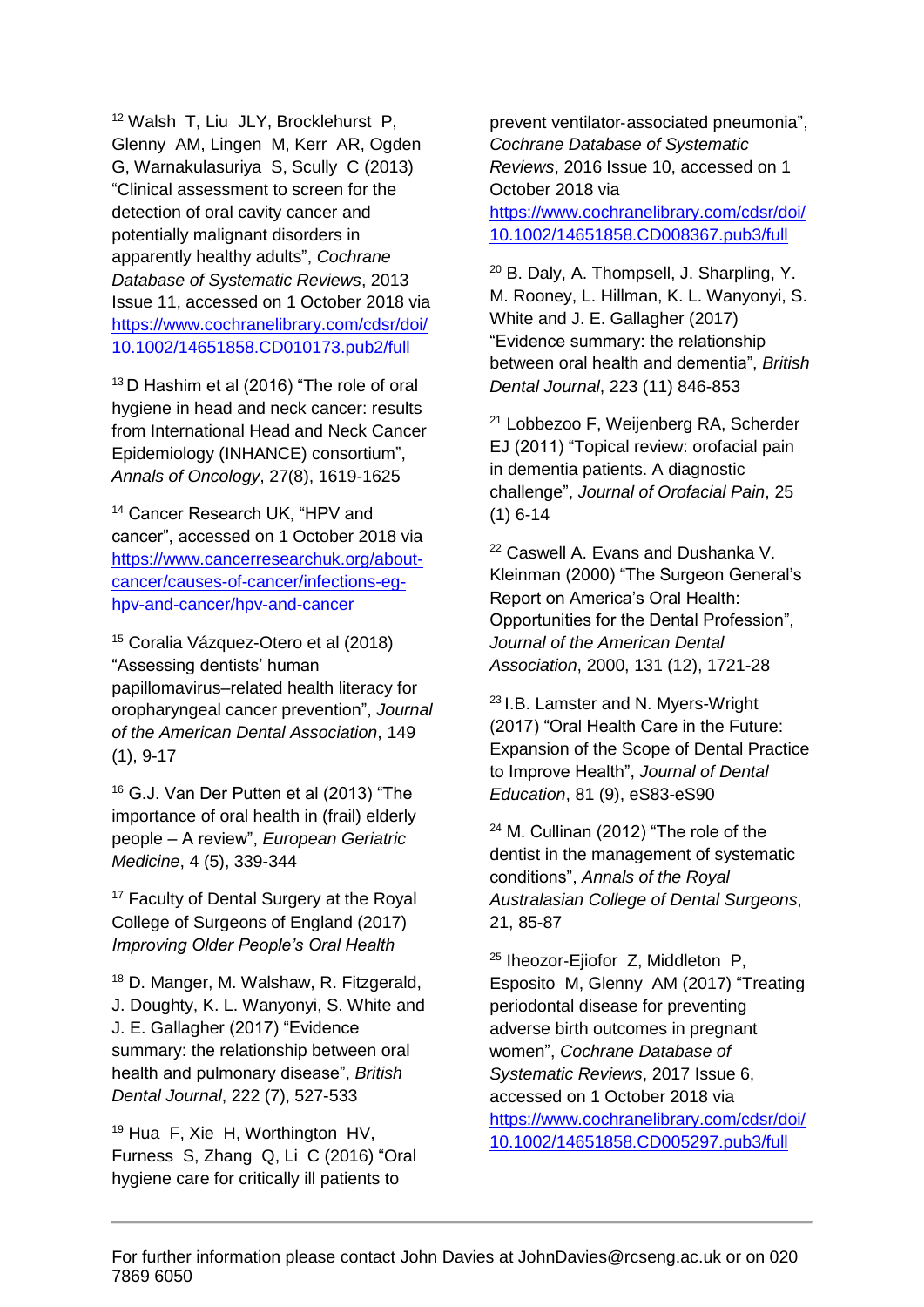<sup>12</sup> Walsh T, Liu JLY, Brocklehurst P, Glenny AM, Lingen M, Kerr AR, Ogden G, Warnakulasuriya S, Scully C (2013) "Clinical assessment to screen for the detection of oral cavity cancer and potentially malignant disorders in apparently healthy adults", *Cochrane Database of Systematic Reviews*, 2013 Issue 11, accessed on 1 October 2018 via [https://www.cochranelibrary.com/cdsr/doi/](https://www.cochranelibrary.com/cdsr/doi/10.1002/14651858.CD010173.pub2/full) [10.1002/14651858.CD010173.pub2/full](https://www.cochranelibrary.com/cdsr/doi/10.1002/14651858.CD010173.pub2/full)

<sup>13</sup> D Hashim et al (2016) "The role of oral hygiene in head and neck cancer: results from International Head and Neck Cancer Epidemiology (INHANCE) consortium", *Annals of Oncology*, 27(8), 1619-1625

<sup>14</sup> Cancer Research UK, "HPV and cancer", accessed on 1 October 2018 via [https://www.cancerresearchuk.org/about](https://www.cancerresearchuk.org/about-cancer/causes-of-cancer/infections-eg-hpv-and-cancer/hpv-and-cancer)[cancer/causes-of-cancer/infections-eg](https://www.cancerresearchuk.org/about-cancer/causes-of-cancer/infections-eg-hpv-and-cancer/hpv-and-cancer)[hpv-and-cancer/hpv-and-cancer](https://www.cancerresearchuk.org/about-cancer/causes-of-cancer/infections-eg-hpv-and-cancer/hpv-and-cancer)

<sup>15</sup> Coralia Vázquez-Otero et al (2018) "Assessing dentists' human papillomavirus–related health literacy for oropharyngeal cancer prevention", *Journal of the American Dental Association*, 149 (1), 9-17

<sup>16</sup> G.J. Van Der Putten et al (2013) "The importance of oral health in (frail) elderly people – A review", *European Geriatric Medicine*, 4 (5), 339-344

<sup>17</sup> Faculty of Dental Surgery at the Royal College of Surgeons of England (2017) *Improving Older People's Oral Health*

<sup>18</sup> D. Manger, M. Walshaw, R. Fitzgerald, J. Doughty, K. L. Wanyonyi, S. White and J. E. Gallagher (2017) "Evidence summary: the relationship between oral health and pulmonary disease", *British Dental Journal*, 222 (7), 527-533

<sup>19</sup> Hua F, Xie H, Worthington HV, Furness S, Zhang Q, Li C (2016) "Oral hygiene care for critically ill patients to

prevent ventilator‐associated pneumonia", *Cochrane Database of Systematic Reviews*, 2016 Issue 10, accessed on 1 October 2018 via [https://www.cochranelibrary.com/cdsr/doi/](https://www.cochranelibrary.com/cdsr/doi/10.1002/14651858.CD008367.pub3/full)

[10.1002/14651858.CD008367.pub3/full](https://www.cochranelibrary.com/cdsr/doi/10.1002/14651858.CD008367.pub3/full)

<sup>20</sup> B. Daly, A. Thompsell, J. Sharpling, Y. M. Rooney, L. Hillman, K. L. Wanyonyi, S. White and J. E. Gallagher (2017) "Evidence summary: the relationship between oral health and dementia", *British Dental Journal*, 223 (11) 846-853

<sup>21</sup> Lobbezoo F, Weijenberg RA, Scherder EJ (2011) "Topical review: orofacial pain in dementia patients. A diagnostic challenge", *Journal of Orofacial Pain*, 25 (1) 6-14

<sup>22</sup> Caswell A. Evans and Dushanka V. Kleinman (2000) "The Surgeon General's Report on America's Oral Health: Opportunities for the Dental Profession", *Journal of the American Dental Association*, 2000, 131 (12), 1721-28

<sup>23</sup> I.B. Lamster and N. Myers-Wright (2017) "Oral Health Care in the Future: Expansion of the Scope of Dental Practice to Improve Health", *Journal of Dental Education*, 81 (9), eS83-eS90

<sup>24</sup> M. Cullinan (2012) "The role of the dentist in the management of systematic conditions", *Annals of the Royal Australasian College of Dental Surgeons*, 21, 85-87

25 Iheozor‐Ejiofor Z, Middleton P, Esposito M, Glenny AM (2017) "Treating periodontal disease for preventing adverse birth outcomes in pregnant women", *Cochrane Database of Systematic Reviews*, 2017 Issue 6, accessed on 1 October 2018 via [https://www.cochranelibrary.com/cdsr/doi/](https://www.cochranelibrary.com/cdsr/doi/10.1002/14651858.CD005297.pub3/full)

[10.1002/14651858.CD005297.pub3/full](https://www.cochranelibrary.com/cdsr/doi/10.1002/14651858.CD005297.pub3/full)